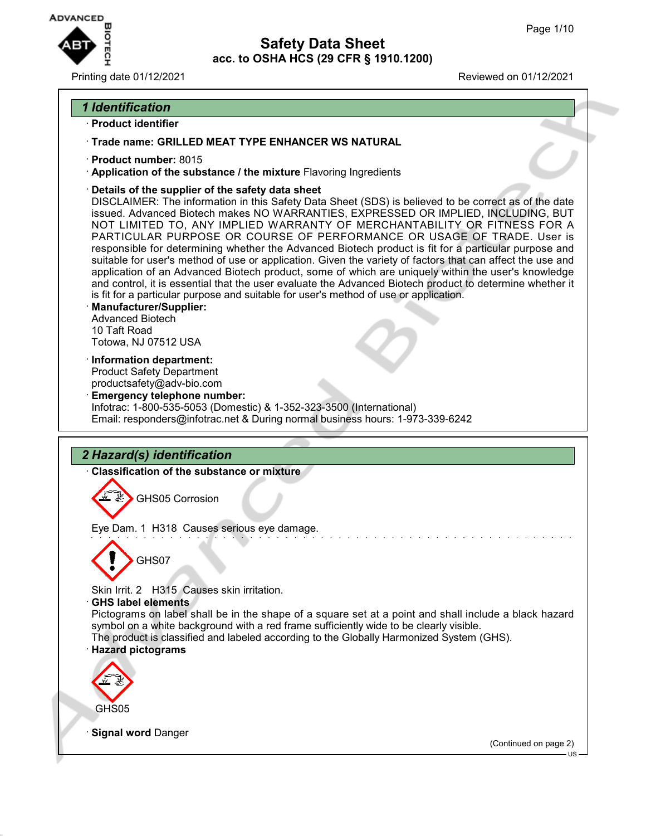

Printing date 01/12/2021 Reviewed on 01/12/2021

## *1 Identification*

- · **Product identifier**
- · **Trade name: GRILLED MEAT TYPE ENHANCER WS NATURAL**
- · **Product number:** 8015
- · **Application of the substance / the mixture** Flavoring Ingredients
- · **Details of the supplier of the safety data sheet**

DISCLAIMER: The information in this Safety Data Sheet (SDS) is believed to be correct as of the date issued. Advanced Biotech makes NO WARRANTIES, EXPRESSED OR IMPLIED, INCLUDING, BUT NOT LIMITED TO, ANY IMPLIED WARRANTY OF MERCHANTABILITY OR FITNESS FOR A PARTICULAR PURPOSE OR COURSE OF PERFORMANCE OR USAGE OF TRADE. User is responsible for determining whether the Advanced Biotech product is fit for a particular purpose and suitable for user's method of use or application. Given the variety of factors that can affect the use and application of an Advanced Biotech product, some of which are uniquely within the user's knowledge and control, it is essential that the user evaluate the Advanced Biotech product to determine whether it is fit for a particular purpose and suitable for user's method of use or application.

- · **Manufacturer/Supplier:** Advanced Biotech 10 Taft Road Totowa, NJ 07512 USA
- · **Information department:** Product Safety Department productsafety@adv-bio.com
- · **Emergency telephone number:** Infotrac: 1-800-535-5053 (Domestic) & 1-352-323-3500 (International) Email: responders@infotrac.net & During normal business hours: 1-973-339-6242

# *2 Hazard(s) identification*

· **Classification of the substance or mixture**

GHS05 Corrosion

Eye Dam. 1 H318 Causes serious eye damage.



Skin Irrit. 2 H315 Causes skin irritation.

· **GHS label elements**

Pictograms on label shall be in the shape of a square set at a point and shall include a black hazard symbol on a white background with a red frame sufficiently wide to be clearly visible.

- The product is classified and labeled according to the Globally Harmonized System (GHS).
- · **Hazard pictograms**



**Signal word Danger** 

(Continued on page 2)

US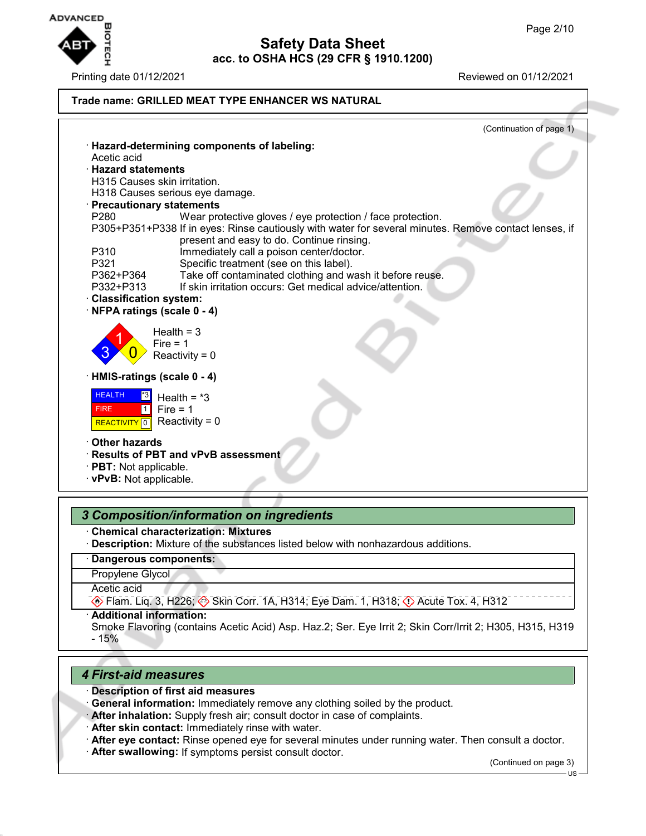

| · Hazard-determining components of labeling:<br>Acetic acid<br><b>Hazard statements</b><br>H315 Causes skin irritation.<br>H318 Causes serious eye damage.<br>· Precautionary statements<br>P280<br>Wear protective gloves / eye protection / face protection.<br>P305+P351+P338 If in eyes: Rinse cautiously with water for several minutes. Remove contact lenses, if<br>present and easy to do. Continue rinsing.<br>P310<br>Immediately call a poison center/doctor.<br>P321<br>Specific treatment (see on this label).<br>Take off contaminated clothing and wash it before reuse.<br>P362+P364<br>P332+P313<br>If skin irritation occurs: Get medical advice/attention.<br><b>Classification system:</b><br>NFPA ratings (scale 0 - 4)<br>Health = $3$<br>Fire $= 1$<br>Reactivity = $0$<br>HMIS-ratings (scale 0 - 4)<br><b>HEALTH</b><br> 3 <br>Health = $*3$<br>Fire = $1$<br><b>FIRE</b><br>$\vert$ 1<br>Reactivity = $0$<br><b>REACTIVITY</b> 0<br><b>Other hazards</b><br>Results of PBT and vPvB assessment<br>· PBT: Not applicable.<br>· vPvB: Not applicable. |                          |
|-------------------------------------------------------------------------------------------------------------------------------------------------------------------------------------------------------------------------------------------------------------------------------------------------------------------------------------------------------------------------------------------------------------------------------------------------------------------------------------------------------------------------------------------------------------------------------------------------------------------------------------------------------------------------------------------------------------------------------------------------------------------------------------------------------------------------------------------------------------------------------------------------------------------------------------------------------------------------------------------------------------------------------------------------------------------------------|--------------------------|
|                                                                                                                                                                                                                                                                                                                                                                                                                                                                                                                                                                                                                                                                                                                                                                                                                                                                                                                                                                                                                                                                               | (Continuation of page 1) |
|                                                                                                                                                                                                                                                                                                                                                                                                                                                                                                                                                                                                                                                                                                                                                                                                                                                                                                                                                                                                                                                                               |                          |
|                                                                                                                                                                                                                                                                                                                                                                                                                                                                                                                                                                                                                                                                                                                                                                                                                                                                                                                                                                                                                                                                               |                          |
|                                                                                                                                                                                                                                                                                                                                                                                                                                                                                                                                                                                                                                                                                                                                                                                                                                                                                                                                                                                                                                                                               |                          |
|                                                                                                                                                                                                                                                                                                                                                                                                                                                                                                                                                                                                                                                                                                                                                                                                                                                                                                                                                                                                                                                                               |                          |
|                                                                                                                                                                                                                                                                                                                                                                                                                                                                                                                                                                                                                                                                                                                                                                                                                                                                                                                                                                                                                                                                               |                          |
|                                                                                                                                                                                                                                                                                                                                                                                                                                                                                                                                                                                                                                                                                                                                                                                                                                                                                                                                                                                                                                                                               |                          |
|                                                                                                                                                                                                                                                                                                                                                                                                                                                                                                                                                                                                                                                                                                                                                                                                                                                                                                                                                                                                                                                                               |                          |
|                                                                                                                                                                                                                                                                                                                                                                                                                                                                                                                                                                                                                                                                                                                                                                                                                                                                                                                                                                                                                                                                               |                          |
|                                                                                                                                                                                                                                                                                                                                                                                                                                                                                                                                                                                                                                                                                                                                                                                                                                                                                                                                                                                                                                                                               |                          |
|                                                                                                                                                                                                                                                                                                                                                                                                                                                                                                                                                                                                                                                                                                                                                                                                                                                                                                                                                                                                                                                                               |                          |
|                                                                                                                                                                                                                                                                                                                                                                                                                                                                                                                                                                                                                                                                                                                                                                                                                                                                                                                                                                                                                                                                               |                          |
|                                                                                                                                                                                                                                                                                                                                                                                                                                                                                                                                                                                                                                                                                                                                                                                                                                                                                                                                                                                                                                                                               |                          |
|                                                                                                                                                                                                                                                                                                                                                                                                                                                                                                                                                                                                                                                                                                                                                                                                                                                                                                                                                                                                                                                                               |                          |
|                                                                                                                                                                                                                                                                                                                                                                                                                                                                                                                                                                                                                                                                                                                                                                                                                                                                                                                                                                                                                                                                               |                          |
|                                                                                                                                                                                                                                                                                                                                                                                                                                                                                                                                                                                                                                                                                                                                                                                                                                                                                                                                                                                                                                                                               |                          |
|                                                                                                                                                                                                                                                                                                                                                                                                                                                                                                                                                                                                                                                                                                                                                                                                                                                                                                                                                                                                                                                                               |                          |
|                                                                                                                                                                                                                                                                                                                                                                                                                                                                                                                                                                                                                                                                                                                                                                                                                                                                                                                                                                                                                                                                               |                          |
|                                                                                                                                                                                                                                                                                                                                                                                                                                                                                                                                                                                                                                                                                                                                                                                                                                                                                                                                                                                                                                                                               |                          |
|                                                                                                                                                                                                                                                                                                                                                                                                                                                                                                                                                                                                                                                                                                                                                                                                                                                                                                                                                                                                                                                                               |                          |
|                                                                                                                                                                                                                                                                                                                                                                                                                                                                                                                                                                                                                                                                                                                                                                                                                                                                                                                                                                                                                                                                               |                          |
|                                                                                                                                                                                                                                                                                                                                                                                                                                                                                                                                                                                                                                                                                                                                                                                                                                                                                                                                                                                                                                                                               |                          |
|                                                                                                                                                                                                                                                                                                                                                                                                                                                                                                                                                                                                                                                                                                                                                                                                                                                                                                                                                                                                                                                                               |                          |
|                                                                                                                                                                                                                                                                                                                                                                                                                                                                                                                                                                                                                                                                                                                                                                                                                                                                                                                                                                                                                                                                               |                          |
|                                                                                                                                                                                                                                                                                                                                                                                                                                                                                                                                                                                                                                                                                                                                                                                                                                                                                                                                                                                                                                                                               |                          |
|                                                                                                                                                                                                                                                                                                                                                                                                                                                                                                                                                                                                                                                                                                                                                                                                                                                                                                                                                                                                                                                                               |                          |
|                                                                                                                                                                                                                                                                                                                                                                                                                                                                                                                                                                                                                                                                                                                                                                                                                                                                                                                                                                                                                                                                               |                          |
|                                                                                                                                                                                                                                                                                                                                                                                                                                                                                                                                                                                                                                                                                                                                                                                                                                                                                                                                                                                                                                                                               |                          |
|                                                                                                                                                                                                                                                                                                                                                                                                                                                                                                                                                                                                                                                                                                                                                                                                                                                                                                                                                                                                                                                                               |                          |

## *3 Composition/information on ingredients*

· **Chemical characterization: Mixtures**

· **Description:** Mixture of the substances listed below with nonhazardous additions.

### · **Dangerous components:**

Propylene Glycol

Acetic acid

 $\circledast$  Flam. Liq. 3, H226;  $\circledast$  Skin Corr. 1A, H314; Eye Dam. 1, H318;  $\circledast$  Acute Tox. 4, H312

· **Additional information:**

Smoke Flavoring (contains Acetic Acid) Asp. Haz.2; Ser. Eye Irrit 2; Skin Corr/Irrit 2; H305, H315, H319 - 15%

### *4 First-aid measures*

- · **Description of first aid measures**
- · **General information:** Immediately remove any clothing soiled by the product.
- · **After inhalation:** Supply fresh air; consult doctor in case of complaints.
- · **After skin contact:** Immediately rinse with water.
- · **After eye contact:** Rinse opened eye for several minutes under running water. Then consult a doctor.
- · **After swallowing:** If symptoms persist consult doctor.

(Continued on page 3)

US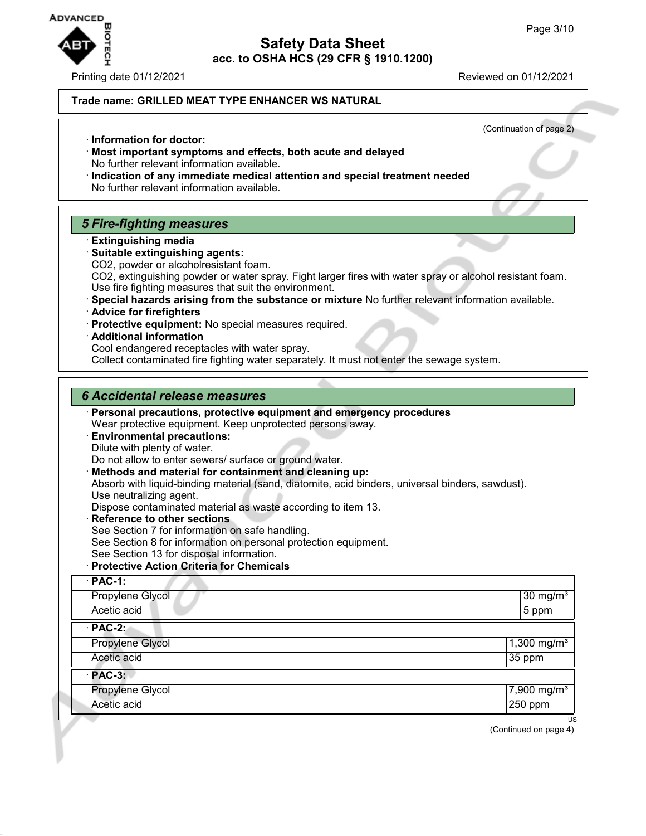

Printing date 01/12/2021 **Reviewed on 01/12/2021** 

**Trade name: GRILLED MEAT TYPE ENHANCER WS NATURAL**

(Continuation of page 2) · **Information for doctor:** · **Most important symptoms and effects, both acute and delayed** No further relevant information available. · **Indication of any immediate medical attention and special treatment needed** No further relevant information available. *5 Fire-fighting measures* · **Extinguishing media** · **Suitable extinguishing agents:** CO2, powder or alcoholresistant foam. CO2, extinguishing powder or water spray. Fight larger fires with water spray or alcohol resistant foam. Use fire fighting measures that suit the environment. · **Special hazards arising from the substance or mixture** No further relevant information available. · **Advice for firefighters** · **Protective equipment:** No special measures required. · **Additional information** Cool endangered receptacles with water spray. Collect contaminated fire fighting water separately. It must not enter the sewage system. *6 Accidental release measures* · **Personal precautions, protective equipment and emergency procedures** Wear protective equipment. Keep unprotected persons away. · **Environmental precautions:** Dilute with plenty of water. Do not allow to enter sewers/ surface or ground water. · **Methods and material for containment and cleaning up:** Absorb with liquid-binding material (sand, diatomite, acid binders, universal binders, sawdust). Use neutralizing agent. Dispose contaminated material as waste according to item 13. · **Reference to other sections** See Section 7 for information on safe handling. See Section 8 for information on personal protection equipment. See Section 13 for disposal information. · **Protective Action Criteria for Chemicals** · **PAC-1:** Propylene Glycol 30 mg/m<sup>3</sup> and 30 mg/m<sup>3</sup> and 30 mg/m<sup>3</sup> and 30 mg/m<sup>3</sup> and 30 mg/m<sup>3</sup> Acetic acid 5 ppm · **PAC-2:** Propylene Glycol 2012 2020 1,300 mg/m<sup>3</sup> 2020 1,300 mg/m<sup>3</sup> Acetic acid 35 ppm · **PAC-3:** Propylene Glycol 7,900 mg/m<sup>3</sup> Acetic acid 250 ppm

(Continued on page 4)

US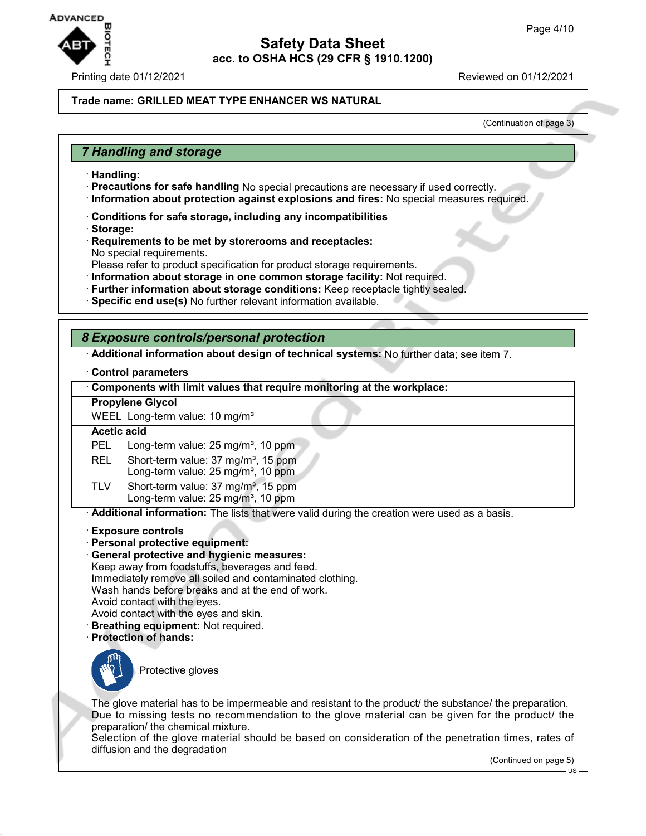

#### **Trade name: GRILLED MEAT TYPE ENHANCER WS NATURAL**

(Continuation of page 3)

## *7 Handling and storage*

- · **Handling:**
- · **Precautions for safe handling** No special precautions are necessary if used correctly.
- · **Information about protection against explosions and fires:** No special measures required.
- · **Conditions for safe storage, including any incompatibilities**
- · **Storage:**
- · **Requirements to be met by storerooms and receptacles:** No special requirements.
- Please refer to product specification for product storage requirements.
- · **Information about storage in one common storage facility:** Not required.
- · **Further information about storage conditions:** Keep receptacle tightly sealed.
- · **Specific end use(s)** No further relevant information available.

## *8 Exposure controls/personal protection*

· **Additional information about design of technical systems:** No further data; see item 7.

#### · **Control parameters**

| Components with limit values that require monitoring at the workplace:                                                                                                                                                                                                                                                                                                                                                                                              |                                                                                                   |  |
|---------------------------------------------------------------------------------------------------------------------------------------------------------------------------------------------------------------------------------------------------------------------------------------------------------------------------------------------------------------------------------------------------------------------------------------------------------------------|---------------------------------------------------------------------------------------------------|--|
| <b>Propylene Glycol</b>                                                                                                                                                                                                                                                                                                                                                                                                                                             |                                                                                                   |  |
|                                                                                                                                                                                                                                                                                                                                                                                                                                                                     | WEEL Long-term value: $10 \text{ mg/m}^3$                                                         |  |
| <b>Acetic acid</b>                                                                                                                                                                                                                                                                                                                                                                                                                                                  |                                                                                                   |  |
| <b>PEL</b>                                                                                                                                                                                                                                                                                                                                                                                                                                                          | Long-term value: $25 \text{ mg/m}^3$ , 10 ppm                                                     |  |
| <b>REL</b>                                                                                                                                                                                                                                                                                                                                                                                                                                                          | Short-term value: 37 mg/m <sup>3</sup> , 15 ppm<br>Long-term value: 25 mg/m <sup>3</sup> , 10 ppm |  |
| TLV.                                                                                                                                                                                                                                                                                                                                                                                                                                                                | Short-term value: 37 mg/m <sup>3</sup> , 15 ppm<br>Long-term value: 25 mg/m <sup>3</sup> , 10 ppm |  |
|                                                                                                                                                                                                                                                                                                                                                                                                                                                                     | Additional information: The lists that were valid during the creation were used as a basis.       |  |
| <b>Exposure controls</b><br>Personal protective equipment:<br><b>General protective and hygienic measures:</b><br>Keep away from foodstuffs, beverages and feed.<br>Immediately remove all soiled and contaminated clothing.<br>$M$ , the contract of the contract of the contract of $\mathcal{L}_1$ . The contract of the contract of the contract of the contract of the contract of the contract of the contract of the contract of the contract of the contrac |                                                                                                   |  |

Wash hands before breaks and at the end of work.

- Avoid contact with the eyes.
- Avoid contact with the eyes and skin.
- · **Breathing equipment:** Not required.
- · **Protection of hands:**



Protective gloves

The glove material has to be impermeable and resistant to the product/ the substance/ the preparation. Due to missing tests no recommendation to the glove material can be given for the product/ the preparation/ the chemical mixture.

Selection of the glove material should be based on consideration of the penetration times, rates of diffusion and the degradation

(Continued on page 5)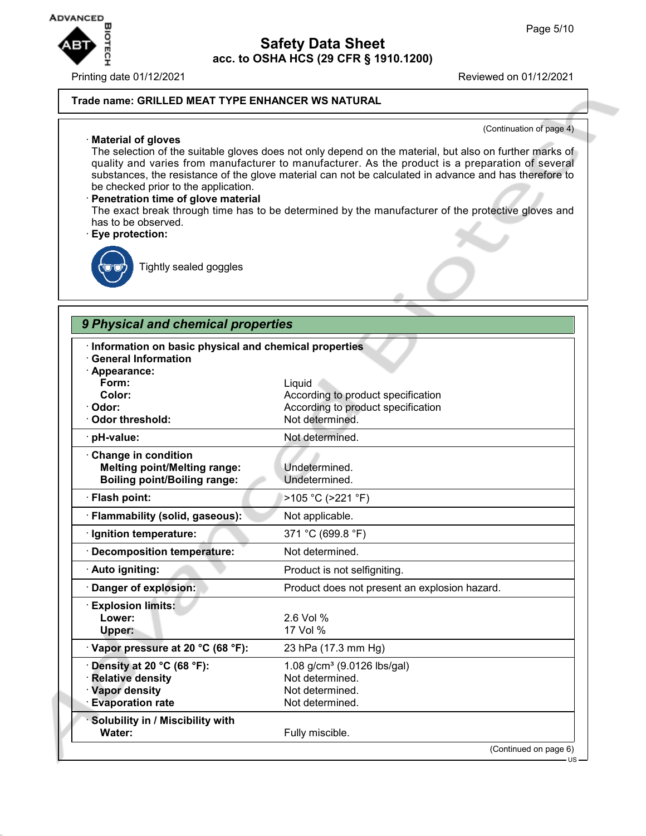#### Printing date 01/12/2021 Reviewed on 01/12/2021

#### **Trade name: GRILLED MEAT TYPE ENHANCER WS NATURAL**

#### (Continuation of page 4)

· **Material of gloves** The selection of the suitable gloves does not only depend on the material, but also on further marks of quality and varies from manufacturer to manufacturer. As the product is a preparation of several substances, the resistance of the glove material can not be calculated in advance and has therefore to be checked prior to the application.

### · **Penetration time of glove material** The exact break through time has to be determined by the manufacturer of the protective gloves and has to be observed.

· **Eye protection:**



Tightly sealed goggles

# *9 Physical and chemical properties*

| <b>General Information</b><br>· Appearance: |                                               |
|---------------------------------------------|-----------------------------------------------|
| Form:                                       | Liquid                                        |
| Color:                                      | According to product specification            |
| Odor:                                       | According to product specification            |
| <b>Odor threshold:</b>                      | Not determined.                               |
| pH-value:                                   | Not determined.                               |
| <b>Change in condition</b>                  |                                               |
| <b>Melting point/Melting range:</b>         | Undetermined.                                 |
| <b>Boiling point/Boiling range:</b>         | Undetermined.                                 |
| · Flash point:                              | >105 °C (>221 °F)                             |
| · Flammability (solid, gaseous):            | Not applicable.                               |
| · Ignition temperature:                     | 371 °C (699.8 °F)                             |
| <b>Decomposition temperature:</b>           | Not determined.                               |
| · Auto igniting:                            | Product is not selfigniting.                  |
| Danger of explosion:                        | Product does not present an explosion hazard. |
| <b>Explosion limits:</b>                    |                                               |
| Lower:                                      | 2.6 Vol %                                     |
| Upper:                                      | 17 Vol %                                      |
| Vapor pressure at 20 °C (68 °F):            | 23 hPa (17.3 mm Hg)                           |
| Density at 20 °C (68 °F):                   | 1.08 g/cm <sup>3</sup> (9.0126 lbs/gal)       |
| <b>Relative density</b>                     | Not determined.                               |
| · Vapor density                             | Not determined.                               |
| <b>Evaporation rate</b>                     | Not determined.                               |
| Solubility in / Miscibility with            |                                               |
| Water:                                      | Fully miscible.                               |



 $\blacksquare$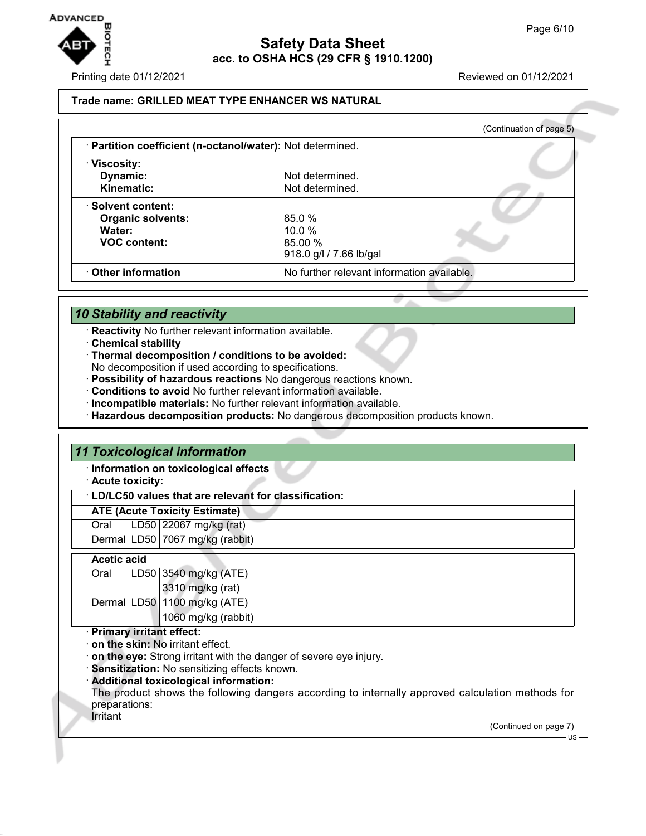

Printing date 01/12/2021 Reviewed on 01/12/2021

### **Trade name: GRILLED MEAT TYPE ENHANCER WS NATURAL**

|                                                            |                                            | (Continuation of page 5) |
|------------------------------------------------------------|--------------------------------------------|--------------------------|
| · Partition coefficient (n-octanol/water): Not determined. |                                            |                          |
| · Viscosity:                                               |                                            |                          |
| Dynamic:                                                   | Not determined.                            |                          |
| Kinematic:                                                 | Not determined.                            |                          |
| · Solvent content:                                         |                                            |                          |
| <b>Organic solvents:</b>                                   | 85.0%                                      |                          |
| Water:                                                     | $10.0\%$                                   |                          |
| <b>VOC content:</b>                                        | 85.00%                                     |                          |
|                                                            | 918.0 g/l / 7.66 lb/gal                    |                          |
| Other information                                          | No further relevant information available. |                          |

## *10 Stability and reactivity*

- · **Reactivity** No further relevant information available.
- · **Chemical stability**
- · **Thermal decomposition / conditions to be avoided:** No decomposition if used according to specifications.
- · **Possibility of hazardous reactions** No dangerous reactions known.
- · **Conditions to avoid** No further relevant information available.
- · **Incompatible materials:** No further relevant information available.
- · **Hazardous decomposition products:** No dangerous decomposition products known.

### *11 Toxicological information*

· **Information on toxicological effects**

· **Acute toxicity:**

### · **LD/LC50 values that are relevant for classification:**

**ATE (Acute Toxicity Estimate)**

Oral LD50 22067 mg/kg (rat) Dermal LD50 7067 mg/kg (rabbit)

### **Acetic acid**

| Oral | LD50 3540 mg/kg (ATE)        |
|------|------------------------------|
|      | 3310 mg/kg (rat)             |
|      | Dermal LD50 1100 mg/kg (ATE) |
|      | 1060 mg/kg (rabbit)          |

#### · **Primary irritant effect:**

- · **on the skin:** No irritant effect.
- · **on the eye:** Strong irritant with the danger of severe eye injury.
- · **Sensitization:** No sensitizing effects known.
- · **Additional toxicological information:**
- The product shows the following dangers according to internally approved calculation methods for preparations:
- Irritant

(Continued on page 7)

US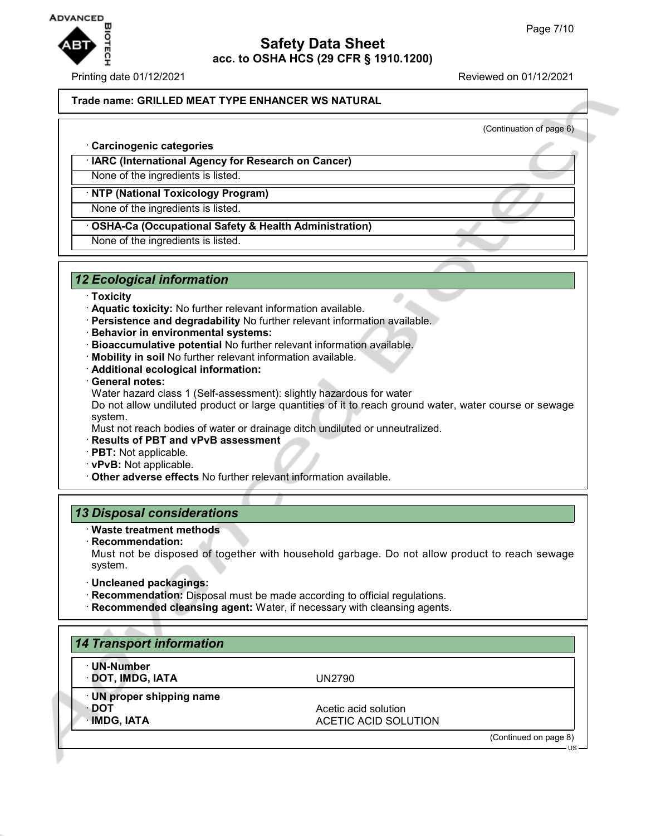

(Continuation of page 6)

### **Trade name: GRILLED MEAT TYPE ENHANCER WS NATURAL**

· **Carcinogenic categories**

· **IARC (International Agency for Research on Cancer)**

None of the ingredients is listed.

### · **NTP (National Toxicology Program)**

None of the ingredients is listed.

## · **OSHA-Ca (Occupational Safety & Health Administration)**

None of the ingredients is listed.

## *12 Ecological information*

#### · **Toxicity**

- · **Aquatic toxicity:** No further relevant information available.
- · **Persistence and degradability** No further relevant information available.
- · **Behavior in environmental systems:**
- · **Bioaccumulative potential** No further relevant information available.
- · **Mobility in soil** No further relevant information available.
- · **Additional ecological information:**
- · **General notes:**

Water hazard class 1 (Self-assessment): slightly hazardous for water

Do not allow undiluted product or large quantities of it to reach ground water, water course or sewage system.

Must not reach bodies of water or drainage ditch undiluted or unneutralized.

- · **Results of PBT and vPvB assessment**
- · **PBT:** Not applicable.
- · **vPvB:** Not applicable.
- · **Other adverse effects** No further relevant information available.

### *13 Disposal considerations*

- · **Waste treatment methods**
- · **Recommendation:**

Must not be disposed of together with household garbage. Do not allow product to reach sewage system.

- · **Uncleaned packagings:**
- · **Recommendation:** Disposal must be made according to official regulations.
- · **Recommended cleansing agent:** Water, if necessary with cleansing agents.

| · UN-Number               |                             |  |
|---------------------------|-----------------------------|--|
| · DOT, IMDG, IATA         | UN2790                      |  |
| · UN proper shipping name |                             |  |
| ∙ DOT                     | Acetic acid solution        |  |
| · IMDG, IATA              | <b>ACETIC ACID SOLUTION</b> |  |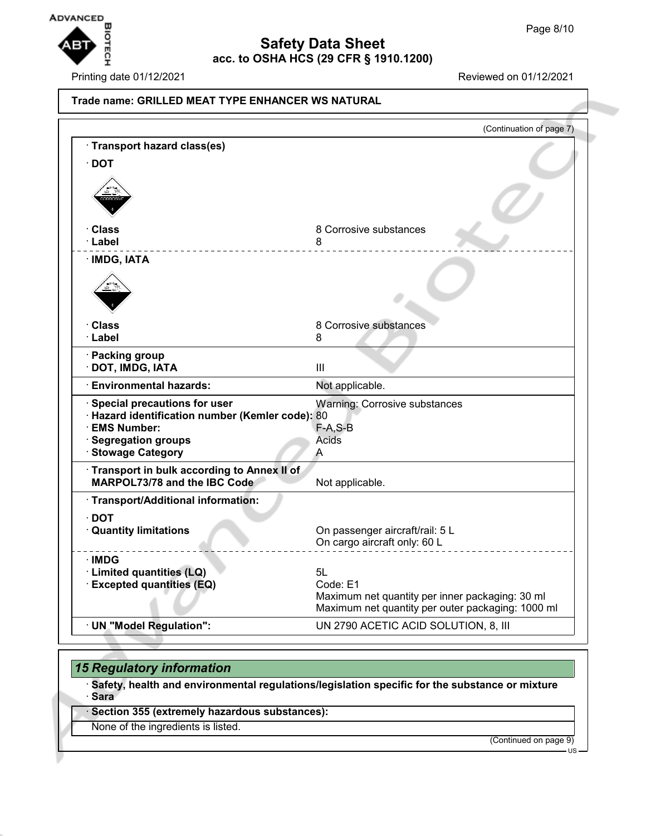

Printing date 01/12/2021 Reviewed on 01/12/2021

|                                                      | (Continuation of page 7)                          |
|------------------------------------------------------|---------------------------------------------------|
| · Transport hazard class(es)                         |                                                   |
| $\cdot$ DOT                                          |                                                   |
|                                                      |                                                   |
|                                                      |                                                   |
|                                                      |                                                   |
| · Class                                              | 8 Corrosive substances                            |
| · Label                                              | 8                                                 |
| · IMDG, IATA                                         |                                                   |
|                                                      |                                                   |
|                                                      |                                                   |
|                                                      |                                                   |
| ∙ Class                                              | 8 Corrosive substances                            |
| · Label                                              | 8                                                 |
| · Packing group                                      |                                                   |
| · DOT, IMDG, IATA                                    | Ш                                                 |
| <b>Environmental hazards:</b>                        | Not applicable.                                   |
| Special precautions for user                         | <b>Warning: Corrosive substances</b>              |
| · Hazard identification number (Kemler code): 80     |                                                   |
| · EMS Number:                                        | $F-A, S-B$                                        |
| <b>Segregation groups</b><br><b>Stowage Category</b> | Acids<br>A                                        |
| Transport in bulk according to Annex II of           |                                                   |
| MARPOL73/78 and the IBC Code                         | Not applicable.                                   |
| · Transport/Additional information:                  |                                                   |
| $\cdot$ DOT                                          |                                                   |
| <b>Quantity limitations</b>                          | On passenger aircraft/rail: 5 L                   |
|                                                      | On cargo aircraft only: 60 L                      |
| $\cdot$ IMDG                                         |                                                   |
| · Limited quantities (LQ)                            | 5L                                                |
| · Excepted quantities (EQ)                           | Code: E1                                          |
|                                                      | Maximum net quantity per inner packaging: 30 ml   |
|                                                      | Maximum net quantity per outer packaging: 1000 ml |
| · UN "Model Regulation":                             | UN 2790 ACETIC ACID SOLUTION, 8, III              |

## *15 Regulatory information*

· **Safety, health and environmental regulations/legislation specific for the substance or mixture** · **Sara**

· **Section 355 (extremely hazardous substances):**

None of the ingredients is listed.

(Continued on page 9)

 $\overline{11}$ S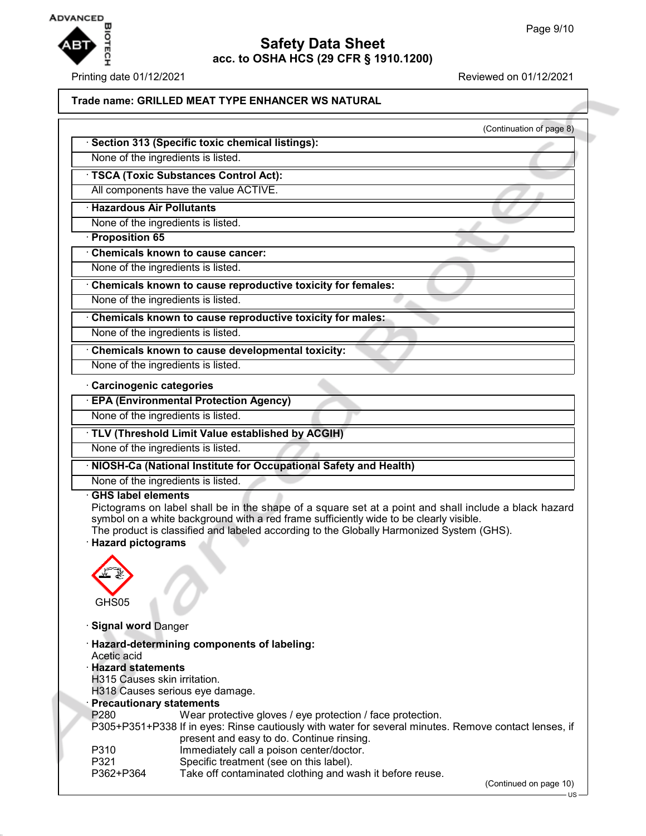

## **Safety Data Sheet acc. to OSHA HCS (29 CFR § 1910.1200)**

Printing date 01/12/2021 Reviewed on 01/12/2021

### **Trade name: GRILLED MEAT TYPE ENHANCER WS NATURAL**

|                                                             | (Continuation of page 8) |
|-------------------------------------------------------------|--------------------------|
| Section 313 (Specific toxic chemical listings):             |                          |
| None of the ingredients is listed.                          |                          |
| TSCA (Toxic Substances Control Act):                        |                          |
| All components have the value ACTIVE.                       |                          |
| <b>Hazardous Air Pollutants</b>                             |                          |
| None of the ingredients is listed.                          |                          |
| <b>Proposition 65</b>                                       |                          |
| <b>Chemicals known to cause cancer:</b>                     |                          |
| None of the ingredients is listed.                          |                          |
| Chemicals known to cause reproductive toxicity for females: |                          |
| None of the ingredients is listed.                          |                          |
| Chemicals known to cause reproductive toxicity for males:   |                          |
| None of the ingredients is listed.                          |                          |
| Chemicals known to cause developmental toxicity:            |                          |

### · **Carcinogenic categories**

· **EPA (Environmental Protection Agency)**

None of the ingredients is listed.

None of the ingredients is listed.

### · **TLV (Threshold Limit Value established by ACGIH)**

None of the ingredients is listed.

· **NIOSH-Ca (National Institute for Occupational Safety and Health)**

None of the ingredients is listed.

#### · **GHS label elements**

Pictograms on label shall be in the shape of a square set at a point and shall include a black hazard symbol on a white background with a red frame sufficiently wide to be clearly visible. The product is classified and labeled according to the Globally Harmonized System (GHS).

### · **Hazard pictograms**



· **Signal word** Danger

|                                 | · Hazard-determining components of labeling:                                                          |
|---------------------------------|-------------------------------------------------------------------------------------------------------|
| Acetic acid                     |                                                                                                       |
| <b>Hazard statements</b>        |                                                                                                       |
| H315 Causes skin irritation.    |                                                                                                       |
| H318 Causes serious eye damage. |                                                                                                       |
| · Precautionary statements      |                                                                                                       |
| P <sub>280</sub>                | Wear protective gloves / eye protection / face protection.                                            |
|                                 | P305+P351+P338 If in eyes: Rinse cautiously with water for several minutes. Remove contact lenses, if |
|                                 | present and easy to do. Continue rinsing.                                                             |
| P310                            | Immediately call a poison center/doctor.                                                              |
| P321                            | Specific treatment (see on this label).                                                               |
| P362+P364                       | Take off contaminated clothing and wash it before reuse.                                              |

(Continued on page 10) US